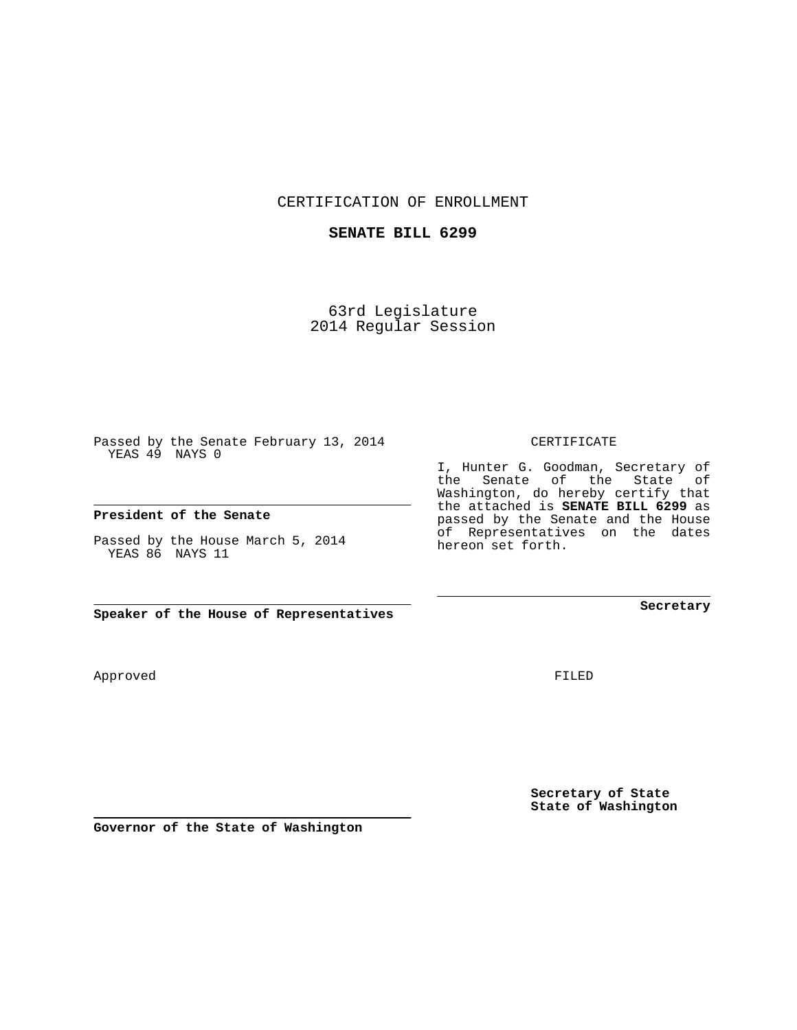CERTIFICATION OF ENROLLMENT

## **SENATE BILL 6299**

63rd Legislature 2014 Regular Session

Passed by the Senate February 13, 2014 YEAS 49 NAYS 0

## **President of the Senate**

Passed by the House March 5, 2014 YEAS 86 NAYS 11

**Speaker of the House of Representatives**

Approved

FILED

**Secretary of State State of Washington**

**Secretary**

CERTIFICATE

I, Hunter G. Goodman, Secretary of the Senate of the State of Washington, do hereby certify that the attached is **SENATE BILL 6299** as passed by the Senate and the House of Representatives on the dates hereon set forth.

**Governor of the State of Washington**